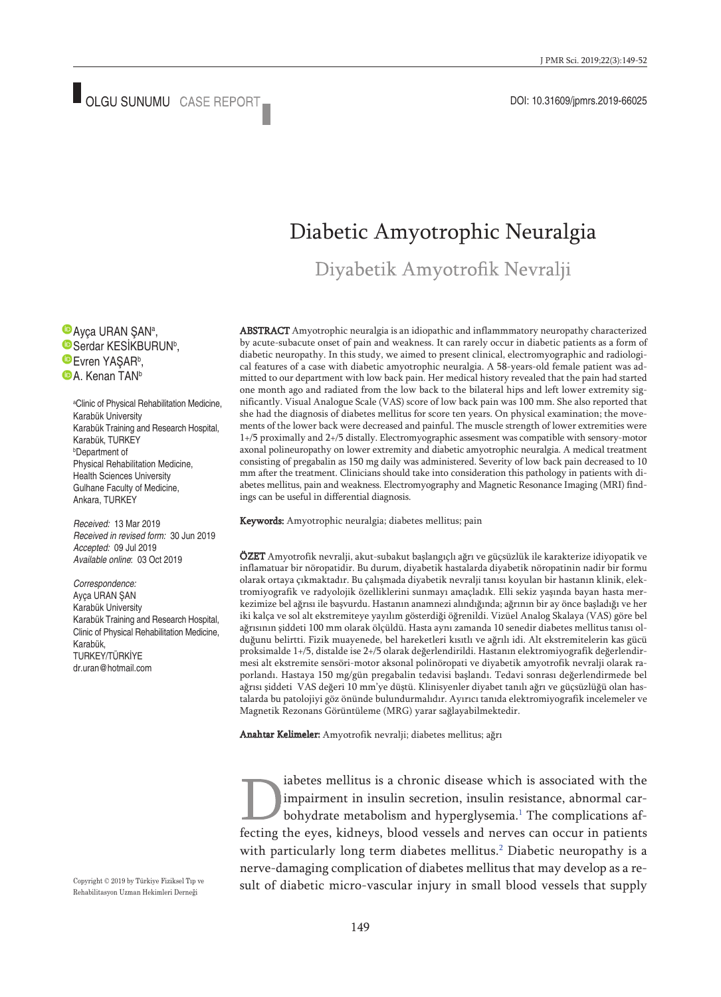## Diabetic Amyotrophic Neuralgia

Diyabetik Amyotrofik Nevralji

Ayça URAN ŞANª, Serdar KESIKBURUN<sup>b</sup>, Evren YAŞAR<sup>b</sup>, **D**A. Kenan TAN<sup>b</sup>

a Clinic of Physical Rehabilitation Medicine, Karabük University Karabük Training and Research Hospital, Karabük, TURKEY b Department of Physical Rehabilitation Medicine, Health Sciences University Gulhane Faculty of Medicine, Ankara, TURKEY

*Received:* 13 Mar 2019 *Received in revised form:* 30 Jun 2019 *Accepted:* 09 Jul 2019 *Available online*: 03 Oct 2019

*Correspondence:* Ayça URAN ŞAN Karabük University Karabük Training and Research Hospital, Clinic of Physical Rehabilitation Medicine, Karabük, TURKEY/TÜRKİYE dr.uran@hotmail.com

ABSTRACT Amyotrophic neuralgia is an idiopathic and inflammmatory neuropathy characterized by acute-subacute onset of pain and weakness. It can rarely occur in diabetic patients as a form of diabetic neuropathy. In this study, we aimed to present clinical, electromyographic and radiological features of a case with diabetic amyotrophic neuralgia. A 58-years-old female patient was admitted to our department with low back pain. Her medical history revealed that the pain had started one month ago and radiated from the low back to the bilateral hips and left lower extremity significantly. Visual Analogue Scale (VAS) score of low back pain was 100 mm. She also reported that she had the diagnosis of diabetes mellitus for score ten years. On physical examination; the movements of the lower back were decreased and painful. The muscle strength of lower extremities were 1+/5 proximally and 2+/5 distally. Electromyographic assesment was compatible with sensory-motor axonal polineuropathy on lower extremity and diabetic amyotrophic neuralgia. A medical treatment consisting of pregabalin as 150 mg daily was administered. Severity of low back pain decreased to 10 mm after the treatment. Clinicians should take into consideration this pathology in patients with diabetes mellitus, pain and weakness. Electromyography and Magnetic Resonance Imaging (MRI) findings can be useful in differential diagnosis.

Keywords: Amyotrophic neuralgia; diabetes mellitus; pain

ÖZET Amyotrofik nevralji, akut-subakut başlangıçlı ağrı ve güçsüzlük ile karakterize idiyopatik ve inflamatuar bir nöropatidir. Bu durum, diyabetik hastalarda diyabetik nöropatinin nadir bir formu olarak ortaya çıkmaktadır. Bu çalışmada diyabetik nevralji tanısı koyulan bir hastanın klinik, elektromiyografik ve radyolojik özelliklerini sunmayı amaçladık. Elli sekiz yaşında bayan hasta merkezimize bel ağrısı ile başvurdu. Hastanın anamnezi alındığında; ağrının bir ay önce başladığı ve her iki kalça ve sol alt ekstremiteye yayılım gösterdiği öğrenildi. Vizüel Analog Skalaya (VAS) göre bel ağrısının şiddeti 100 mm olarak ölçüldü. Hasta aynı zamanda 10 senedir diabetes mellitus tanısı olduğunu belirtti. Fizik muayenede, bel hareketleri kısıtlı ve ağrılı idi. Alt ekstremitelerin kas gücü proksimalde 1+/5, distalde ise 2+/5 olarak değerlendirildi. Hastanın elektromiyografik değerlendirmesi alt ekstremite sensöri-motor aksonal polinöropati ve diyabetik amyotrofik nevralji olarak raporlandı. Hastaya 150 mg/gün pregabalin tedavisi başlandı. Tedavi sonrası değerlendirmede bel ağrısı şiddeti VAS değeri 10 mm'ye düştü. Klinisyenler diyabet tanılı ağrı ve güçsüzlüğü olan hastalarda bu patolojiyi göz önünde bulundurmalıdır. Ayırıcı tanıda elektromiyografik incelemeler ve Magnetik Rezonans Görüntüleme (MRG) yarar sağlayabilmektedir.

Anahtar Kelimeler: Amyotrofik nevralji; diabetes mellitus; ağrı

iabetes mellitus is a chronic disease which is associated with the impairment in insulin secretion, insulin resistance, abnormal carbohydrate metabolism and hyperglysemia. [1](#page-3-0) The complications affecting the eyes, kidneys, blood vessels and nerves can occur in patients with particularly long term diabetes mellitus. [2](#page-3-0) Diabetic neuropathy is a nerve-damaging complication of diabetes mellitus that may develop as a result of diabetic micro-vascular injury in small blood vessels that supply

Copyright © 2019 by Türkiye Fiziksel Tıp ve Rehabilitasyon Uzman Hekimleri Derneği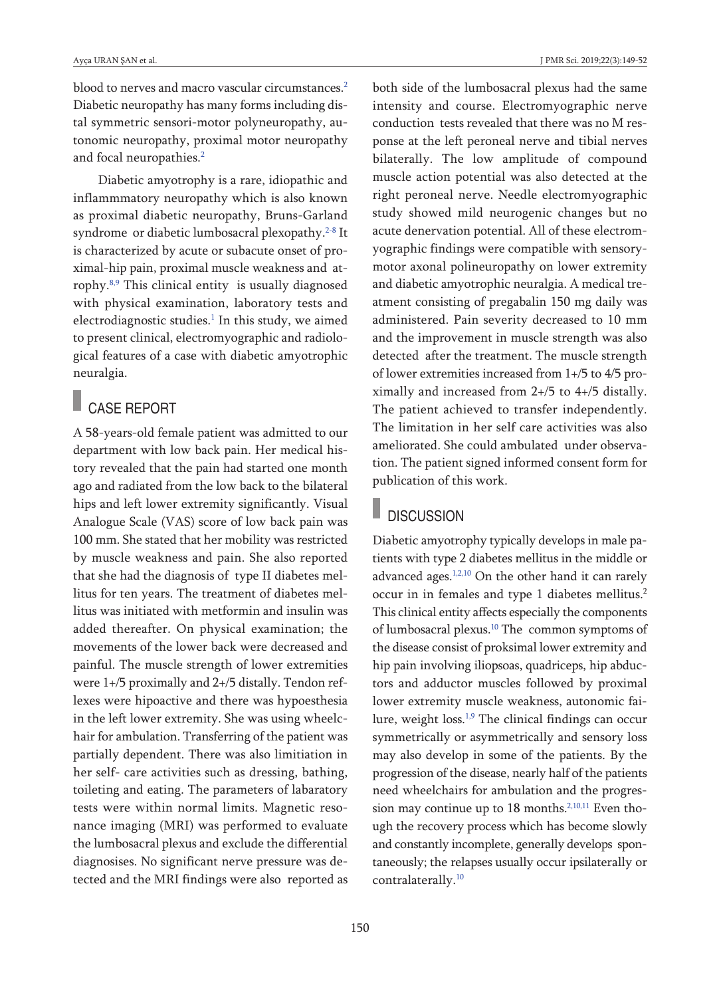blood to nerves and macro vascular circumstances. [2](#page-3-0) Diabetic [neuropathy](#page-3-0) has many forms including distal symmetric sensori-motor [polyneuropathy,](#page-3-0) autonomic [neuropathy,](#page-3-0) proximal motor neuropathy and focal [neuropathies.](#page-3-0) [2](#page-3-0)

Diabetic amyotrophy is a rare, idiopathic and inflammmatory neuropathy which is also known as proximal diabetic neuropathy, Bruns-Garland syndrome or diabetic lumbosacral plexopathy. [2-8](#page-3-0) It is characterized by acute or subacute onset of proximal-hip pain, proximal muscle weakness and atrophy. [8,9](#page-3-0) This clinical entity is usually diagnosed with physical examination, laboratory tests and electrodiagnostic studies. [1](#page-3-0) In this study, we aimed to present clinical, electromyographic and radiological features of a case with diabetic amyotrophic neuralgia.

## CASE REPORT

A 58-years-old female patient was admitted to our department with low back pain. Her medical history revealed that the pain had started one month ago and radiated from the low back to the bilateral hips and left lower extremity significantly. Visual Analogue Scale (VAS) score of low back pain was 100 mm. She stated that her mobility was restricted by muscle weakness and pain. She also reported that she had the diagnosis of type II diabetes mellitus for ten years. The treatment of diabetes mellitus was initiated with metformin and insulin was added thereafter. On physical examination; the movements of the lower back were decreased and painful. The muscle strength of lower extremities were 1+/5 proximally and 2+/5 distally. Tendon reflexes were hipoactive and there was hypoesthesia in the left lower extremity. She was using wheelchair for ambulation. Transferring of the patient was partially dependent. There was also limitiation in her self- care activities such as dressing, bathing, toileting and eating. The parameters of labaratory tests were within normal limits. Magnetic resonance imaging (MRI) was performed to evaluate the lumbosacral plexus and exclude the differential diagnosises. No significant nerve pressure was detected and the MRI findings were also reported as both side of the lumbosacral plexus had the same intensity and course. Electromyographic nerve conduction tests revealed that there was no M response at the left peroneal nerve and tibial nerves bilaterally. The low amplitude of compound muscle action potential was also detected at the right peroneal nerve. Needle electromyographic study showed mild neurogenic changes but no acute denervation potential. All of these electromyographic findings were compatible with sensorymotor axonal polineuropathy on lower extremity and diabetic amyotrophic neuralgia. A medical treatment consisting of pregabalin 150 mg daily was administered. Pain severity decreased to 10 mm and the improvement in muscle strength was also detected after the treatment. The muscle strength of lower extremities increased from 1+/5 to 4/5 proximally and increased from 2+/5 to 4+/5 distally. The patient achieved to transfer independently. The limitation in her self care activities was also ameliorated. She could ambulated under observation. The patient signed informed consent form for publication of this work.

#### **DISCUSSION**

Diabetic amyotrophy typically develops in male patients with type 2 diabetes mellitus in the middle or advanced ages.<sup>[1,2,10](#page-3-0)</sup> On the other hand it can rarely occur in in females and type 1 diabetes mellitus. 2 This clinical entity affects especially the components of lumbosacral plexus. [10](#page-3-0) The common symptoms of the disease consist of proksimal lower extremity and hip pain involving iliopsoas, quadriceps, hip abductors and adductor muscles followed by proximal lower extremity muscle weakness, autonomic fai-lure, weight loss.<sup>[1,9](#page-3-0)</sup> The clinical findings can occur symmetrically or asymmetrically and sensory loss may also develop in some of the patients. By the progression of the disease, nearly half of the patients need wheelchairs for ambulation and the progres-sion may continue up to 18 months.<sup>[2,10,11](#page-3-0)</sup> Even though the recovery process which has become slowly and constantly incomplete, generally develops spontaneously; the relapses usually occur ipsilaterally or contralaterally. [10](#page-3-0)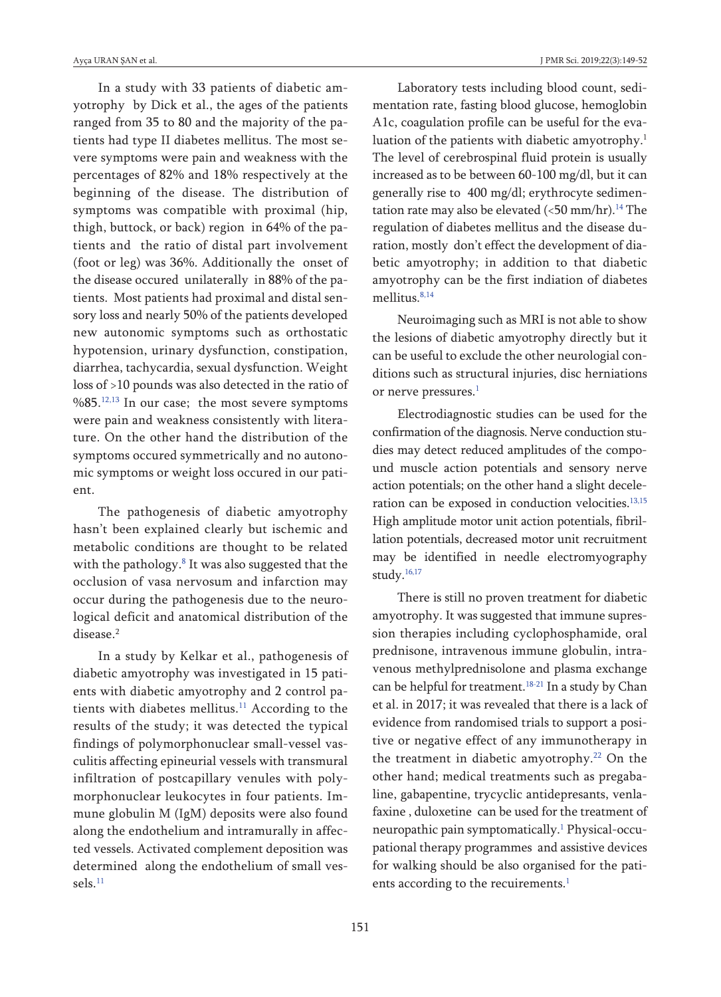In a study with 33 patients of diabetic amyotrophy by Dick et al., the ages of the patients ranged from 35 to 80 and the majority of the patients had type II diabetes mellitus. The most severe symptoms were pain and weakness with the percentages of 82% and 18% respectively at the beginning of the disease. The distribution of symptoms was compatible with proximal (hip, thigh, buttock, or back) region in 64% of the patients and the ratio of distal part involvement (foot or leg) was 36%. Additionally the onset of the disease occured unilaterally in 88% of the patients. Most patients had proximal and distal sensory loss and nearly 50% of the patients developed new autonomic symptoms such as orthostatic hypotension, urinary dysfunction, constipation, diarrhea, tachycardia, sexual dysfunction. Weight loss of >10 pounds was also detected in the ratio of %85.<sup>[12,13](#page-3-0)</sup> In our case; the most severe symptoms were pain and weakness consistently with literature. On the other hand the distribution of the symptoms occured symmetrically and no autonomic symptoms or weight loss occured in our patient.

The pathogenesis of diabetic amyotrophy hasn't been explained clearly but ischemic and metabolic conditions are thought to be related with the pathology. [8](#page-3-0) It was also suggested that the occlusion of vasa nervosum and infarction may occur during the pathogenesis due to the neurological deficit and anatomical distribution of the disease. 2

In a study by Kelkar et al., pathogenesis of diabetic amyotrophy was investigated in 15 patients with diabetic amyotrophy and 2 control patients with diabetes mellitus. [11](#page-3-0) According to the results of the study; it was detected the typical findings of polymorphonuclear small-vessel vasculitis affecting epineurial vessels with transmural infiltration of postcapillary venules with polymorphonuclear leukocytes in four patients. Immune globulin M (IgM) deposits were also found along the endothelium and intramurally in affected vessels. Activated complement deposition was determined along the endothelium of small vessels. [11](#page-3-0)

Laboratory tests including blood count, sedimentation rate, fasting blood glucose, hemoglobin A1c, coagulation profile can be useful for the evaluation of the patients with diabetic amyotrophy. 1 The level of cerebrospinal fluid protein is usually increased as to be between 60-100 mg/dl, but it can generally rise to 400 mg/dl; erythrocyte sedimentation rate may also be elevated (<50 mm/hr). [14](#page-3-0) The regulation of diabetes mellitus and the disease duration, mostly don't effect the development of diabetic amyotrophy; in addition to that diabetic amyotrophy can be the first indiation of diabetes mellitus. [8,14](#page-3-0)

Neuroimaging such as MRI is not able to show the lesions of diabetic amyotrophy directly but it can be useful to exclude the other neurologial conditions such as structural injuries, disc herniations or nerve pressures. [1](#page-3-0)

Electrodiagnostic studies can be used for the confirmation of the diagnosis. Nerve conduction studies may detect reduced amplitudes of the compound muscle action potentials and sensory nerve action potentials; on the other hand a slight deceleration can be exposed in conduction velocities. [13,15](#page-3-0) High amplitude motor unit action potentials, fibrillation potentials, decreased motor unit recruitment may be identified in needle electromyography study. [16,17](#page-3-0)

There is still no proven treatment for diabetic amyotrophy. It was suggested that immune supression therapies including cyclophosphamide, oral prednisone, intravenous immune globulin, intravenous methylprednisolone and plasma exchange can be helpful for treatment. [18-21](#page-3-0) In a study by Chan et al. in 2017; it was revealed that there is a lack of evidence from randomised trials to support a positive or negative effect of any immunotherapy in the treatment in diabetic amyotrophy. [22](#page-3-0) On the other hand; medical treatments such as pregabaline, gabapentine, trycyclic antidepresants, venlafaxine , duloxetine can be used for the treatment of neuropathic pain symptomatically. [1](#page-3-0) Physical-occupational therapy programmes and assistive devices for walking should be also organised for the patients according to the recuirements. [1](#page-3-0)